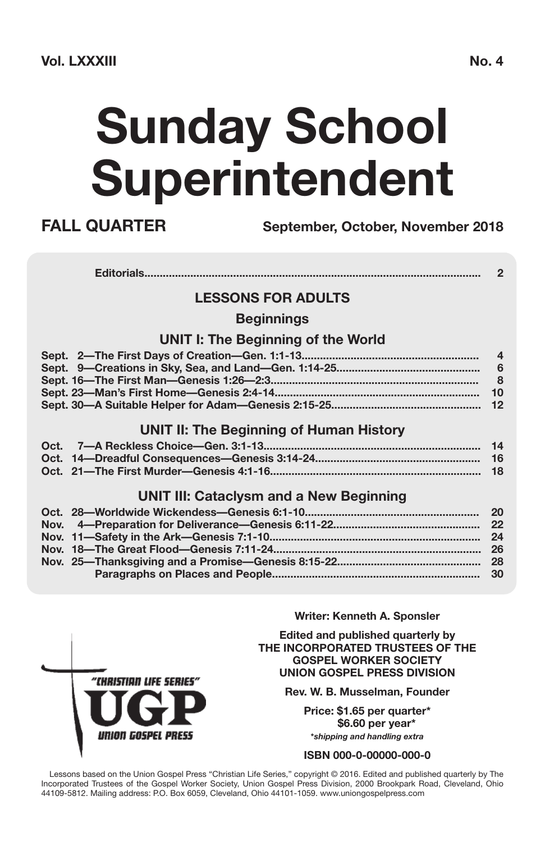# **Sunday School Superintendent**

**FALL QUARTER September, October, November 2018**

#### **LESSONS FOR ADULTS**

#### **Beginnings**

#### **UNIT I: The Beginning of the World**

#### **UNIT II: The Beginning of Human History**

#### **UNIT III: Cataclysm and a New Beginning**

**Writer: Kenneth A. Sponsler**

**Edited and published quarterly by THE INCORPORATED TRUSTEES OF THE GOSPEL WORKER SOCIETY UNION GOSPEL PRESS DIVISION**

**Rev. W. B. Musselman, Founder**

**Price: \$1.65 per quarter\* \$6.60 per year\* \****shipping and handling extra*

#### **ISBN 000-0-00000-000-0**

Lessons based on the Union Gospel Press "Christian Life Series," copyright © 2016. Edited and published quarterly by The Incorporated Trustees of the Gospel Worker Society, Union Gospel Press Division, 2000 Brookpark Road, Cleveland, Ohio 44109-5812. Mailing address: P.O. Box 6059, Cleveland, Ohio 44101-1059. www.uniongospelpress.com

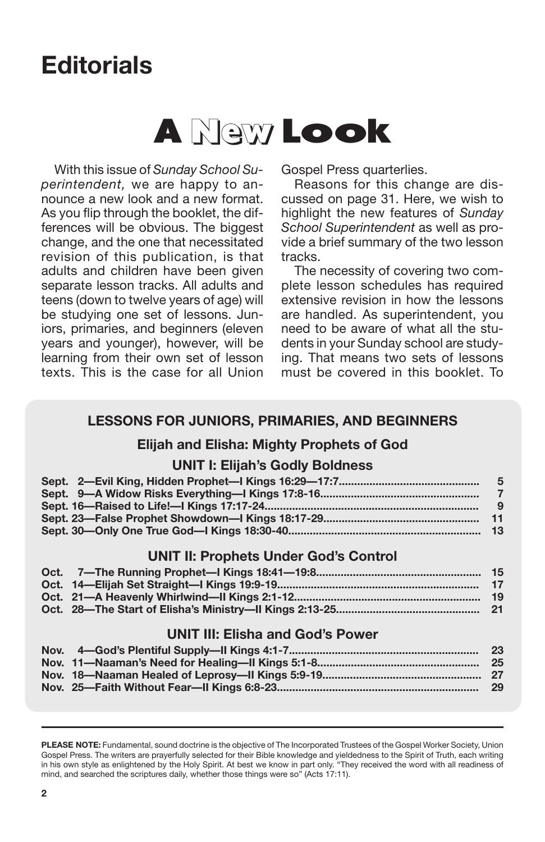## **Editorials**

## **<sup>A</sup> New Look**

With this issue of *Sunday School Superintendent,* we are happy to announce a new look and a new format. As you flip through the booklet, the differences will be obvious. The biggest change, and the one that necessitated revision of this publication, is that adults and children have been given separate lesson tracks. All adults and teens (down to twelve years of age) will be studying one set of lessons. Juniors, primaries, and beginners (eleven years and younger), however, will be learning from their own set of lesson texts. This is the case for all Union

Gospel Press quarterlies.

Reasons for this change are discussed on page 31. Here, we wish to highlight the new features of *Sunday School Superintendent* as well as provide a brief summary of the two lesson tracks.

The necessity of covering two complete lesson schedules has required extensive revision in how the lessons are handled. As superintendent, you need to be aware of what all the students in your Sunday school are studying. That means two sets of lessons must be covered in this booklet. To

#### **LESSONS FOR JUNIORS, PRIMARIES, AND BEGINNERS**

#### **Elijah and Elisha: Mighty Prophets of God**

#### **UNIT I: Elijah's Godly Boldness**

#### **UNIT II: Prophets Under God's Control**

#### **UNIT III: Elisha and God's Power**

**PLEASE NOTE:** Fundamental, sound doctrine is the objective of The Incorporated Trustees of the Gospel Worker Society, Union Gospel Press. The writers are prayerfully selected for their Bible knowledge and yieldedness to the Spirit of Truth, each writing in his own style as enlightened by the Holy Spirit. At best we know in part only. "They received the word with all readiness of mind, and searched the scriptures daily, whether those things were so" (Acts 17:11).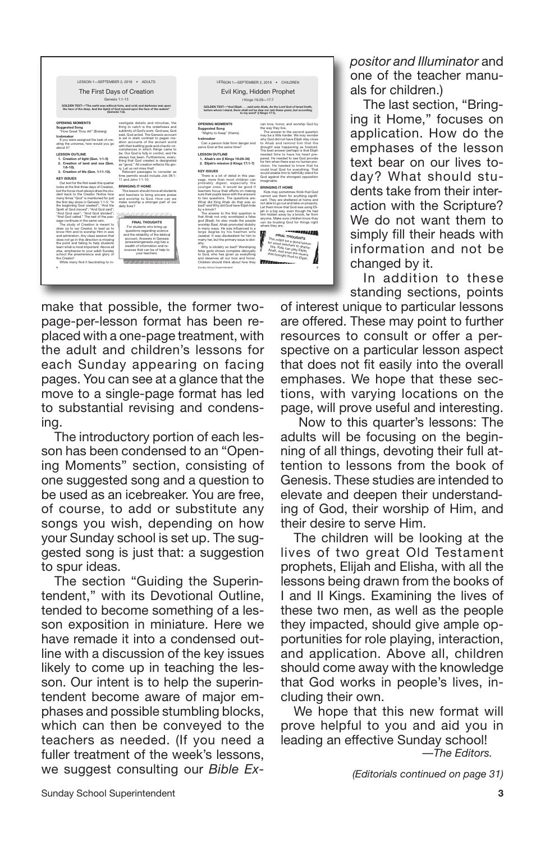| LESSON 1-SEPTEMBER 2, 2018 . ADULTS<br>The First Days of Creation                                                                                                                                                                                                                                                                                                                                                                                                                                                                                                                                                                                                                                                                                                                                                                                                                                                                                                                                                                                                                                                                                                                                                                                                             |                                                                                                                                                                                                                                                                                                                                                                                                                                                                                                                                                                                                                                                                                                                                                                                                                                                                                                                                                                                                                                                                                                                                                                   |                                                                                                                                                                                                                                                                                                                                                                                                                                                                                                                                                                                                                                                                                                                                                                                                                                                                                                                                                                                                                                                                                                                                                                                                                                  | LESSON 1-SEPTEMBER 2, 2018 . CHILDREN<br>Evil King, Hidden Prophet                                                                                                                                                                                                                                                                                                                                                                                                                                                                                                                                                                                                                                                                                                                                                                                                                                                                                                                                                                                                                                                                                                                                                                                                    |
|-------------------------------------------------------------------------------------------------------------------------------------------------------------------------------------------------------------------------------------------------------------------------------------------------------------------------------------------------------------------------------------------------------------------------------------------------------------------------------------------------------------------------------------------------------------------------------------------------------------------------------------------------------------------------------------------------------------------------------------------------------------------------------------------------------------------------------------------------------------------------------------------------------------------------------------------------------------------------------------------------------------------------------------------------------------------------------------------------------------------------------------------------------------------------------------------------------------------------------------------------------------------------------|-------------------------------------------------------------------------------------------------------------------------------------------------------------------------------------------------------------------------------------------------------------------------------------------------------------------------------------------------------------------------------------------------------------------------------------------------------------------------------------------------------------------------------------------------------------------------------------------------------------------------------------------------------------------------------------------------------------------------------------------------------------------------------------------------------------------------------------------------------------------------------------------------------------------------------------------------------------------------------------------------------------------------------------------------------------------------------------------------------------------------------------------------------------------|----------------------------------------------------------------------------------------------------------------------------------------------------------------------------------------------------------------------------------------------------------------------------------------------------------------------------------------------------------------------------------------------------------------------------------------------------------------------------------------------------------------------------------------------------------------------------------------------------------------------------------------------------------------------------------------------------------------------------------------------------------------------------------------------------------------------------------------------------------------------------------------------------------------------------------------------------------------------------------------------------------------------------------------------------------------------------------------------------------------------------------------------------------------------------------------------------------------------------------|-----------------------------------------------------------------------------------------------------------------------------------------------------------------------------------------------------------------------------------------------------------------------------------------------------------------------------------------------------------------------------------------------------------------------------------------------------------------------------------------------------------------------------------------------------------------------------------------------------------------------------------------------------------------------------------------------------------------------------------------------------------------------------------------------------------------------------------------------------------------------------------------------------------------------------------------------------------------------------------------------------------------------------------------------------------------------------------------------------------------------------------------------------------------------------------------------------------------------------------------------------------------------|
|                                                                                                                                                                                                                                                                                                                                                                                                                                                                                                                                                                                                                                                                                                                                                                                                                                                                                                                                                                                                                                                                                                                                                                                                                                                                               |                                                                                                                                                                                                                                                                                                                                                                                                                                                                                                                                                                                                                                                                                                                                                                                                                                                                                                                                                                                                                                                                                                                                                                   |                                                                                                                                                                                                                                                                                                                                                                                                                                                                                                                                                                                                                                                                                                                                                                                                                                                                                                                                                                                                                                                                                                                                                                                                                                  |                                                                                                                                                                                                                                                                                                                                                                                                                                                                                                                                                                                                                                                                                                                                                                                                                                                                                                                                                                                                                                                                                                                                                                                                                                                                       |
|                                                                                                                                                                                                                                                                                                                                                                                                                                                                                                                                                                                                                                                                                                                                                                                                                                                                                                                                                                                                                                                                                                                                                                                                                                                                               | Genesis 1:1-13                                                                                                                                                                                                                                                                                                                                                                                                                                                                                                                                                                                                                                                                                                                                                                                                                                                                                                                                                                                                                                                                                                                                                    |                                                                                                                                                                                                                                                                                                                                                                                                                                                                                                                                                                                                                                                                                                                                                                                                                                                                                                                                                                                                                                                                                                                                                                                                                                  | I Kings 16:29-17:7                                                                                                                                                                                                                                                                                                                                                                                                                                                                                                                                                                                                                                                                                                                                                                                                                                                                                                                                                                                                                                                                                                                                                                                                                                                    |
| GOLDEN TEXT-"The earth was without form, and void: and darkness was upon<br>the face of the deep. And the Spirit of God moved upon the face of the waters"<br>(Genesis 1:2).                                                                                                                                                                                                                                                                                                                                                                                                                                                                                                                                                                                                                                                                                                                                                                                                                                                                                                                                                                                                                                                                                                  |                                                                                                                                                                                                                                                                                                                                                                                                                                                                                                                                                                                                                                                                                                                                                                                                                                                                                                                                                                                                                                                                                                                                                                   |                                                                                                                                                                                                                                                                                                                                                                                                                                                                                                                                                                                                                                                                                                                                                                                                                                                                                                                                                                                                                                                                                                                                                                                                                                  | GOLDEN TEXT-'And Elliah  said unto Ahab. As the Lord God of Israel Iveth.<br>before whom I stand, there shall not be dew nor rain these years, but according<br>to my word" 4 Kings 17:11.                                                                                                                                                                                                                                                                                                                                                                                                                                                                                                                                                                                                                                                                                                                                                                                                                                                                                                                                                                                                                                                                            |
| OPENING MOMENTS<br>Suppested Song<br>"How Great Thou Art" (Boberg)<br>Inchreaker<br>If you were assigned the task of cre-<br>ating the universe, how would you go<br>ahoud it?<br><b>LESSON OUTLINE</b><br>1. Creation of light (Gen. 1:1-5)<br>2. Creation of land and sea (Gen.<br>$1:6-100.$<br>3. Creation of life (Gen. 1:11-13).<br><b>KEY ISSUES</b><br>Our text for the first week this quarter<br>looks at the first three days of Creation.<br>but the focus must always draw the stu-<br>dent hank to the Creator Notice how<br>many times "God" is mentioned for just<br>the first day alone in Genesis 1:1-5: "In<br>the beginning God created": "And the<br>Snigh of God mover": "And God said":<br>"And God saw": "And God divided":<br>"And God called." The rest of the pas-<br>sage continues in the same vein.<br>The study of Creation is meant to<br>draw us to our Creator, to lead us to<br>know Him and to worship Him in awe<br>and admiration. Any class session that<br>does not go in this direction is missing<br>the point and failing to help students<br>learn what is most important. Above all<br>else, emphasize to your adult Sunday<br>school the preeminence and glory of<br>the Creator!<br>While many find it fascinating to in-<br>× | vestigate details and minutiae, the<br>thing to catch is the orderliness and<br>sublimity of God's work. God saw, God<br>said God arted The Genesis annunt<br>is set in stark contrast to pagan cre-<br>ation accounts of the ancient world<br>with their battling gods and chaotic cir-<br>cumstances in which things came to<br>be. Our God is fully in control, and He<br>always has been. Furthermore, every-<br>thing that God created is designated<br>as "good." All creation reflects His glo-<br>no Let us not miss that!<br>Relevant passages to consider as<br>time permits would include Job 38:1-<br>11 and John 1:1-10<br><b>RRINGING IT HOME</b><br>This lesson should move all students<br>and teachers to bring sincere praise<br>and worship to God. How can we<br>make worship a stronger part of our<br>daily lives?<br><b>FINAL THOUGHTS</b><br>For students who bring up<br>questions regarding science<br>and the reliability of the biblical<br>account, Answers in Genesis<br>(answersingenesis.org) has a<br>wealth of information and re-<br>sources that can be of help to<br>your teachers.<br>,,,,,,,,,,,,,,,,,,,,,,,,,,,,,,,,,,,,, | OPENING MOMENTS<br>Suggested Song<br>"Mighty to Keep" (Harris)<br>Inchreaker<br>Can a person hide from danger and<br>serve God at the same time?<br>LESSON OUTLINE<br>1. Ahab's sin 8 Kings 16:29-34)<br>2. Elijah's mission (I Kings 17:1-7)<br><b>KEY ISSUES</b><br>There is a lot of detail in this pas-<br>sage, more than most children can<br>probably digest, especially the<br>younger ones. It would be good if<br>teachers focus their efforts on making<br>sure their pupils leave with the answers<br>to two questions. The questions are:<br>What did King Ahab do that was so<br>bad? and Why did God have Elliah hide<br>hy a hennis?<br>The answer to the first question is<br>that Ahab not only worshiped a false<br>god (Baal); he also made the people<br>worship Baal. Ahab promoted idolatry<br>in many ways. He was influenced in a<br>large degree by his heathen wife<br>Jezebel, it was disobedient for him to<br>many her, but the primary issue is idol-<br>otry<br>Why is idolatry so bad? Worshiping<br>false gods shows complete dislovalty<br>to God, who has given us everything<br>and deserves all nor love and honor<br>Children should think about how they<br>Sunday School Superintendent | can love, honor, and worship God by<br>the way they live.<br>The answer to the second question<br>may be a little harder. We may wonder<br>why God did not have Elliah stay close<br>to Ahab and remind him that the<br>drought was happening as foretold.<br>The best answer perhaps is that Eliah<br>needed time to have his heart pre-<br>pared. He needed to see God provide<br>for him when there was no human pro-<br>vision. He needed to know that he<br>could trust God for everything. That<br>would enable him to faithfully stand for<br>God against the strongest opposition<br>imaginable.<br><b>RRINGING IT HOME</b><br>Kids may sometimes think that God<br>cannot use them for anything signifi-<br>cant. They are sheltered at home and<br>not able to go out and take on projects.<br>Let them know that God was using Eli-<br>iah in a bio way, even though He had<br>him hidden away by a brook, far from<br>anyone. Make sure children know they<br>can be trusting God for things right<br>where they are.<br><b>The Secretary Editor</b><br>FINAL THOUGHTS<br>This might be a good lesson<br>for some teachers to drama.<br>fize. Kids can play Ellian.<br>Ahab, and even the ravens<br>that brought food to Elijah.<br><b>HAIRDROOM</b><br>× |

make that possible, the former twopage-per-lesson format has been replaced with a one-page treatment, with the adult and children's lessons for each Sunday appearing on facing pages. You can see at a glance that the move to a single-page format has led to substantial revising and condensing.

The introductory portion of each lesson has been condensed to an "Opening Moments" section, consisting of one suggested song and a question to be used as an icebreaker. You are free, of course, to add or substitute any songs you wish, depending on how your Sunday school is set up. The suggested song is just that: a suggestion to spur ideas.

The section "Guiding the Superintendent," with its Devotional Outline, tended to become something of a lesson exposition in miniature. Here we have remade it into a condensed outline with a discussion of the key issues likely to come up in teaching the lesson. Our intent is to help the superintendent become aware of major emphases and possible stumbling blocks, which can then be conveyed to the teachers as needed. (If you need a fuller treatment of the week's lessons, we suggest consulting our *Bible Ex-* *positor and Illuminator* and one of the teacher manuals for children.)

The last section, "Bringing it Home," focuses on application. How do the emphases of the lesson text bear on our lives today? What should students take from their interaction with the Scripture? We do not want them to simply fill their heads with information and not be changed by it.

In addition to these standing sections, points

of interest unique to particular lessons are offered. These may point to further resources to consult or offer a perspective on a particular lesson aspect that does not fit easily into the overall emphases. We hope that these sections, with varying locations on the page, will prove useful and interesting.

Now to this quarter's lessons: The adults will be focusing on the beginning of all things, devoting their full attention to lessons from the book of Genesis. These studies are intended to elevate and deepen their understanding of God, their worship of Him, and their desire to serve Him.

The children will be looking at the lives of two great Old Testament prophets, Elijah and Elisha, with all the lessons being drawn from the books of I and II Kings. Examining the lives of these two men, as well as the people they impacted, should give ample opportunities for role playing, interaction, and application. Above all, children should come away with the knowledge that God works in people's lives, including their own.

We hope that this new format will prove helpful to you and aid you in leading an effective Sunday school! *—The Editors.*

*(Editorials continued on page 31)*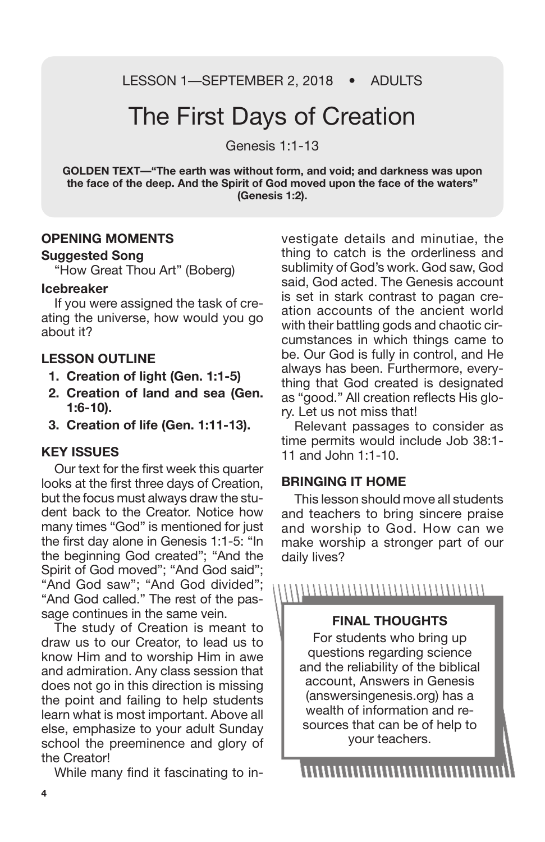LESSON 1-SEPTEMBER 2, 2018 • ADULTS

### The First Days of Creation

Genesis 1:1-13

**GOLDEN TEXT—"The earth was without form, and void; and darkness was upon the face of the deep. And the Spirit of God moved upon the face of the waters" (Genesis 1:2).**

#### **OPENING MOMENTS**

#### **Suggested Song**

"How Great Thou Art" (Boberg)

#### **Icebreaker**

If you were assigned the task of creating the universe, how would you go about it?

#### **LESSON OUTLINE**

- **1. Creation of light (Gen. 1:1-5)**
- **2. Creation of land and sea (Gen. 1:6-10).**
- **3. Creation of life (Gen. 1:11-13).**

#### **KEY ISSUES**

Our text for the first week this quarter looks at the first three days of Creation, but the focus must always draw the student back to the Creator. Notice how many times "God" is mentioned for just the first day alone in Genesis 1:1-5: "In the beginning God created"; "And the Spirit of God moved"; "And God said"; "And God saw"; "And God divided"; "And God called." The rest of the passage continues in the same vein.

The study of Creation is meant to draw us to our Creator, to lead us to know Him and to worship Him in awe and admiration. Any class session that does not go in this direction is missing the point and failing to help students learn what is most important. Above all else, emphasize to your adult Sunday school the preeminence and glory of the Creator!

While many find it fascinating to in-

vestigate details and minutiae, the thing to catch is the orderliness and sublimity of God's work. God saw, God said, God acted. The Genesis account is set in stark contrast to pagan creation accounts of the ancient world with their battling gods and chaotic circumstances in which things came to be. Our God is fully in control, and He always has been. Furthermore, everything that God created is designated as "good." All creation reflects His glory. Let us not miss that!

Relevant passages to consider as time permits would include Job 38:1- 11 and John 1:1-10.

#### **BRINGING IT HOME**

This lesson should move all students and teachers to bring sincere praise and worship to God. How can we make worship a stronger part of our daily lives?

,,,,,,,,,,,,,,,,,,,,,,,,,,,,,,,,,,,,

#### **FINAL THOUGHTS**

For students who bring up questions regarding science and the reliability of the biblical account, Answers in Genesis (answersingenesis.org) has a wealth of information and resources that can be of help to your teachers.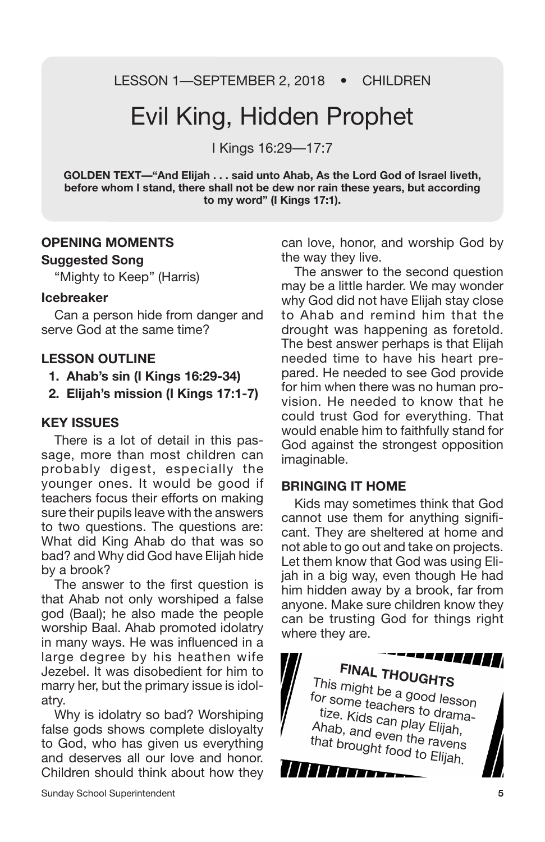LESSON 1—SEPTEMBER 2, 2018 • CHILDREN

## Evil King, Hidden Prophet

I Kings 16:29—17:7

**GOLDEN TEXT—"And Elijah . . . said unto Ahab, As the Lord God of Israel liveth, before whom I stand, there shall not be dew nor rain these years, but according to my word" (I Kings 17:1).**

#### **OPENING MOMENTS Suggested Song**

"Mighty to Keep" (Harris)

#### **Icebreaker**

Can a person hide from danger and serve God at the same time?

#### **LESSON OUTLINE**

- **1. Ahab's sin (I Kings 16:29-34)**
- **2. Elijah's mission (I Kings 17:1-7)**

#### **KEY ISSUES**

There is a lot of detail in this passage, more than most children can probably digest, especially the younger ones. It would be good if teachers focus their efforts on making sure their pupils leave with the answers to two questions. The questions are: What did King Ahab do that was so bad? and Why did God have Elijah hide by a brook?

The answer to the first question is that Ahab not only worshiped a false god (Baal); he also made the people worship Baal. Ahab promoted idolatry in many ways. He was influenced in a large degree by his heathen wife Jezebel. It was disobedient for him to marry her, but the primary issue is idolatry.

Why is idolatry so bad? Worshiping false gods shows complete disloyalty to God, who has given us everything and deserves all our love and honor. Children should think about how they can love, honor, and worship God by the way they live.

The answer to the second question may be a little harder. We may wonder why God did not have Elijah stay close to Ahab and remind him that the drought was happening as foretold. The best answer perhaps is that Elijah needed time to have his heart prepared. He needed to see God provide for him when there was no human provision. He needed to know that he could trust God for everything. That would enable him to faithfully stand for God against the strongest opposition imaginable.

#### **BRINGING IT HOME**

Kids may sometimes think that God cannot use them for anything significant. They are sheltered at home and not able to go out and take on projects. Let them know that God was using Elijah in a big way, even though He had him hidden away by a brook, far from anyone. Make sure children know they can be trusting God for things right where they are.

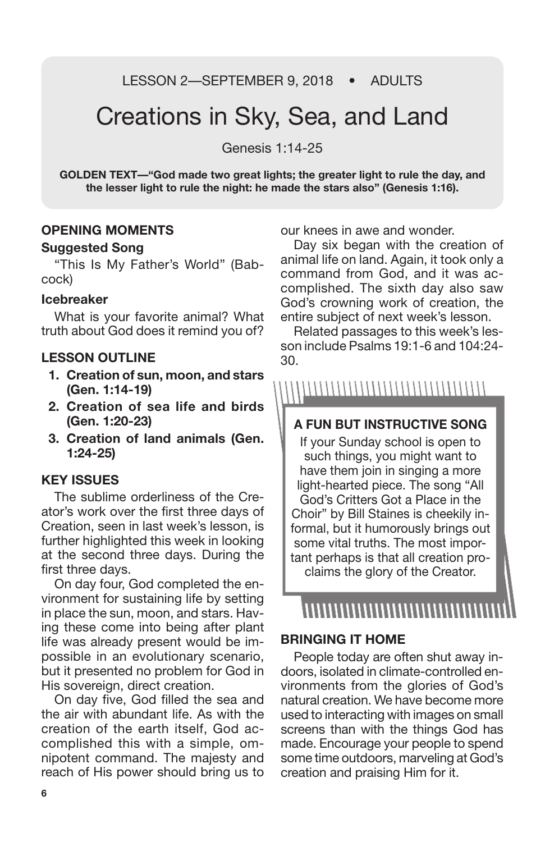LESSON 2-SEPTEMBER 9, 2018 • ADULTS

### Creations in Sky, Sea, and Land

Genesis 1:14-25

**GOLDEN TEXT—"God made two great lights; the greater light to rule the day, and the lesser light to rule the night: he made the stars also" (Genesis 1:16).**

#### **OPENING MOMENTS**

#### **Suggested Song**

"This Is My Father's World" (Babcock)

#### **Icebreaker**

What is your favorite animal? What truth about God does it remind you of?

#### **LESSON OUTLINE**

- **1. Creation of sun, moon, and stars (Gen. 1:14-19)**
- **2. Creation of sea life and birds (Gen. 1:20-23)**
- **3. Creation of land animals (Gen. 1:24-25)**

#### **KEY ISSUES**

The sublime orderliness of the Creator's work over the first three days of Creation, seen in last week's lesson, is further highlighted this week in looking at the second three days. During the first three days.

On day four, God completed the environment for sustaining life by setting in place the sun, moon, and stars. Having these come into being after plant life was already present would be impossible in an evolutionary scenario, but it presented no problem for God in His sovereign, direct creation.

On day five, God filled the sea and the air with abundant life. As with the creation of the earth itself, God accomplished this with a simple, omnipotent command. The majesty and reach of His power should bring us to our knees in awe and wonder.

Day six began with the creation of animal life on land. Again, it took only a command from God, and it was accomplished. The sixth day also saw God's crowning work of creation, the entire subject of next week's lesson.

Related passages to this week's lesson include Psalms 19:1-6 and 104:24- 30.

#### ,,,,,,,,,,,,,,,,,,,,,,,,,,,,,,,,,

#### **A FUN BUT INSTRUCTIVE SONG**

If your Sunday school is open to such things, you might want to have them join in singing a more light-hearted piece. The song "All God's Critters Got a Place in the Choir" by Bill Staines is cheekily informal, but it humorously brings out some vital truths. The most important perhaps is that all creation proclaims the glory of the Creator.

### ,,,,,,,,,,,,,,,,,,,

#### **BRINGING IT HOME**

People today are often shut away indoors, isolated in climate-controlled environments from the glories of God's natural creation. We have become more used to interacting with images on small screens than with the things God has made. Encourage your people to spend some time outdoors, marveling at God's creation and praising Him for it.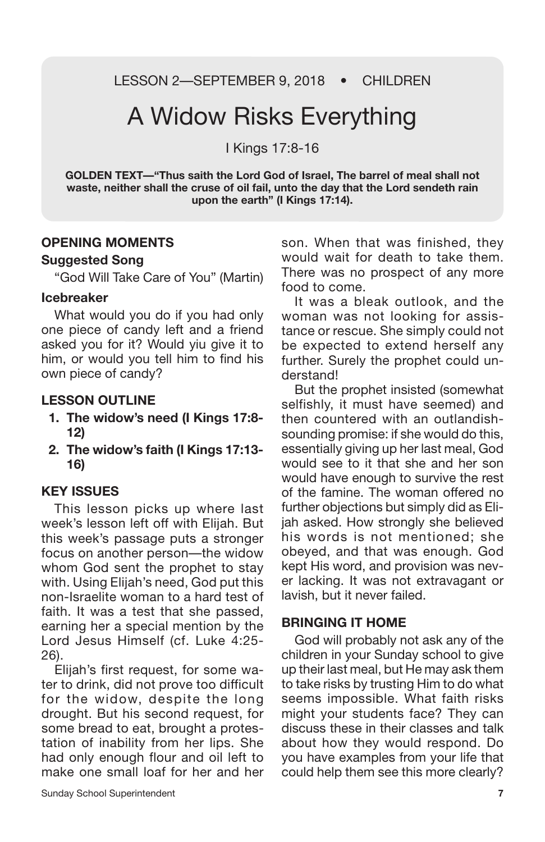LESSON 2—SEPTEMBER 9, 2018 • CHILDREN

## A Widow Risks Everything

I Kings 17:8-16

**GOLDEN TEXT—"Thus saith the Lord God of Israel, The barrel of meal shall not waste, neither shall the cruse of oil fail, unto the day that the Lord sendeth rain upon the earth" (I Kings 17:14).**

#### **OPENING MOMENTS**

#### **Suggested Song**

"God Will Take Care of You" (Martin)

#### **Icebreaker**

What would you do if you had only one piece of candy left and a friend asked you for it? Would yiu give it to him, or would you tell him to find his own piece of candy?

#### **LESSON OUTLINE**

- **1. The widow's need (I Kings 17:8- 12)**
- **2. The widow's faith (I Kings 17:13- 16)**

#### **KEY ISSUES**

This lesson picks up where last week's lesson left off with Elijah. But this week's passage puts a stronger focus on another person—the widow whom God sent the prophet to stay with. Using Elijah's need, God put this non-Israelite woman to a hard test of faith. It was a test that she passed, earning her a special mention by the Lord Jesus Himself (cf. Luke 4:25- 26).

Elijah's first request, for some water to drink, did not prove too difficult for the widow, despite the long drought. But his second request, for some bread to eat, brought a protestation of inability from her lips. She had only enough flour and oil left to make one small loaf for her and her son. When that was finished, they would wait for death to take them. There was no prospect of any more food to come.

It was a bleak outlook, and the woman was not looking for assistance or rescue. She simply could not be expected to extend herself any further. Surely the prophet could understand!

But the prophet insisted (somewhat selfishly, it must have seemed) and then countered with an outlandishsounding promise: if she would do this, essentially giving up her last meal, God would see to it that she and her son would have enough to survive the rest of the famine. The woman offered no further objections but simply did as Elijah asked. How strongly she believed his words is not mentioned; she obeyed, and that was enough. God kept His word, and provision was never lacking. It was not extravagant or lavish, but it never failed.

#### **BRINGING IT HOME**

God will probably not ask any of the children in your Sunday school to give up their last meal, but He may ask them to take risks by trusting Him to do what seems impossible. What faith risks might your students face? They can discuss these in their classes and talk about how they would respond. Do you have examples from your life that could help them see this more clearly?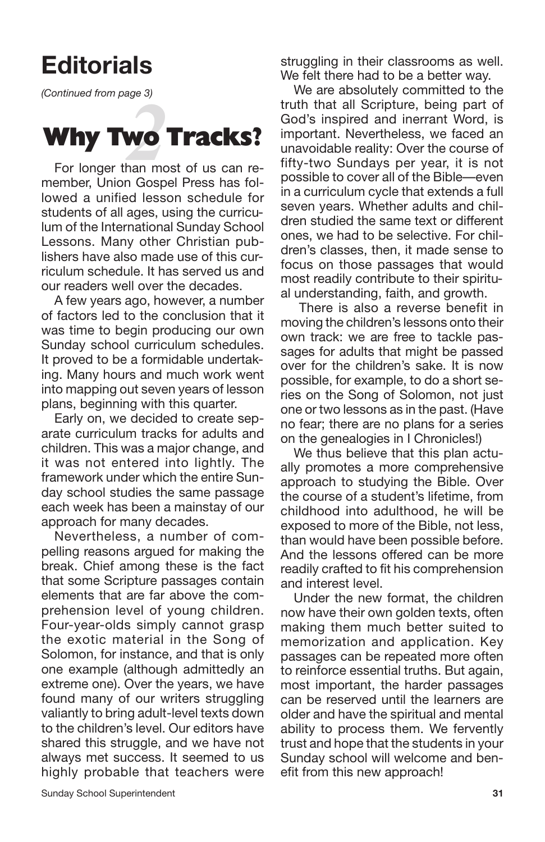## **Editorials**

*(Continued from page 3)*

## **2**<br>**2**<br>**2**<br>**2**<br>**2**<br>**2**<br>**2**<br>**2**<br>**2**<br>**2 Why Two Tracks?**

For longer than most of us can remember, Union Gospel Press has followed a unified lesson schedule for students of all ages, using the curriculum of the International Sunday School Lessons. Many other Christian publishers have also made use of this curriculum schedule. It has served us and our readers well over the decades.

A few years ago, however, a number of factors led to the conclusion that it was time to begin producing our own Sunday school curriculum schedules. It proved to be a formidable undertaking. Many hours and much work went into mapping out seven years of lesson plans, beginning with this quarter.

Early on, we decided to create separate curriculum tracks for adults and children. This was a major change, and it was not entered into lightly. The framework under which the entire Sunday school studies the same passage each week has been a mainstay of our approach for many decades.

Nevertheless, a number of compelling reasons argued for making the break. Chief among these is the fact that some Scripture passages contain elements that are far above the comprehension level of young children. Four-year-olds simply cannot grasp the exotic material in the Song of Solomon, for instance, and that is only one example (although admittedly an extreme one). Over the years, we have found many of our writers struggling valiantly to bring adult-level texts down to the children's level. Our editors have shared this struggle, and we have not always met success. It seemed to us highly probable that teachers were

struggling in their classrooms as well. We felt there had to be a better way.

We are absolutely committed to the truth that all Scripture, being part of God's inspired and inerrant Word, is important. Nevertheless, we faced an unavoidable reality: Over the course of fifty-two Sundays per year, it is not possible to cover all of the Bible—even in a curriculum cycle that extends a full seven years. Whether adults and children studied the same text or different ones, we had to be selective. For children's classes, then, it made sense to focus on those passages that would most readily contribute to their spiritual understanding, faith, and growth.

There is also a reverse benefit in moving the children's lessons onto their own track: we are free to tackle passages for adults that might be passed over for the children's sake. It is now possible, for example, to do a short series on the Song of Solomon, not just one or two lessons as in the past. (Have no fear; there are no plans for a series on the genealogies in I Chronicles!)

We thus believe that this plan actually promotes a more comprehensive approach to studying the Bible. Over the course of a student's lifetime, from childhood into adulthood, he will be exposed to more of the Bible, not less, than would have been possible before. And the lessons offered can be more readily crafted to fit his comprehension and interest level.

Under the new format, the children now have their own golden texts, often making them much better suited to memorization and application. Key passages can be repeated more often to reinforce essential truths. But again, most important, the harder passages can be reserved until the learners are older and have the spiritual and mental ability to process them. We fervently trust and hope that the students in your Sunday school will welcome and benefit from this new approach!